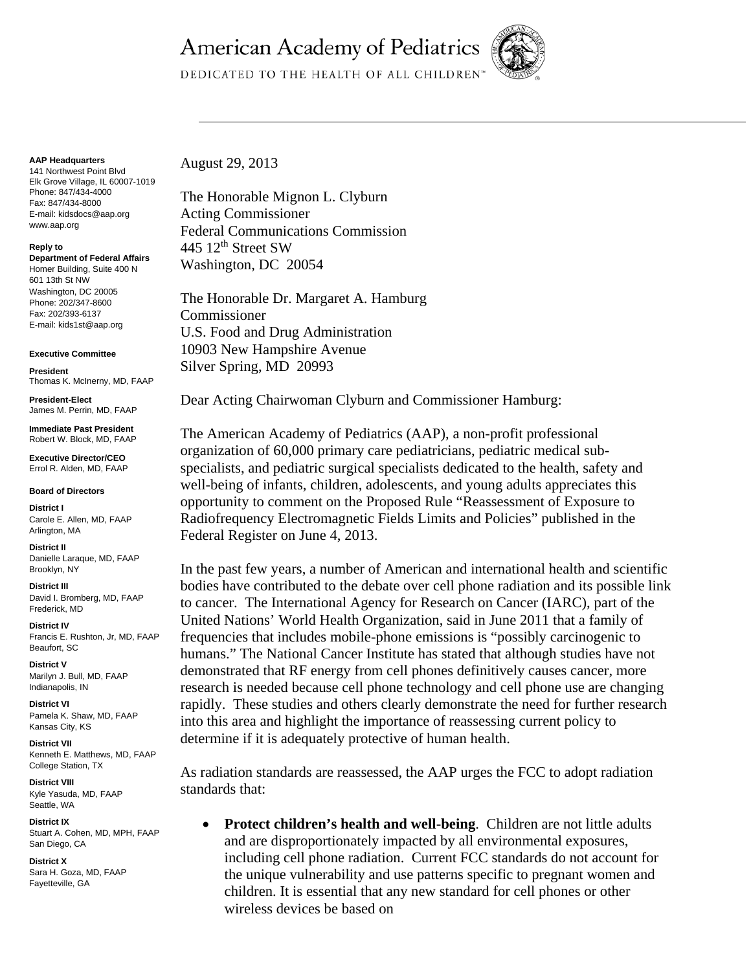## **American Academy of Pediatrics**



DEDICATED TO THE HEALTH OF ALL CHILDREN™

## **AAP Headquarters**

141 Northwest Point Blvd Elk Grove Village, IL 60007-1019 Phone: 847/434-4000 Fax: 847/434-8000 E-mail: kidsdocs@aap.org www.aap.org

## **Reply to**

**Department of Federal Affairs**  Homer Building, Suite 400 N 601 13th St NW Washington, DC 20005 Phone: 202/347-8600 Fax: 202/393-6137 E-mail: kids1st@aap.org

## **Executive Committee**

**President**  Thomas K. McInerny, MD, FAAP

**President-Elect**  James M. Perrin, MD, FAAP

**Immediate Past President**  Robert W. Block, MD, FAAP

**Executive Director/CEO**  Errol R. Alden, MD, FAAP

**Board of Directors** 

**District I**  Carole E. Allen, MD, FAAP Arlington, MA

**District II**  Danielle Laraque, MD, FAAP Brooklyn, NY

**District III**  David I. Bromberg, MD, FAAP Frederick, MD

**District IV**  Francis E. Rushton, Jr, MD, FAAP Beaufort, SC

**District V**  Marilyn J. Bull, MD, FAAP Indianapolis, IN

**District VI**  Pamela K. Shaw, MD, FAAP Kansas City, KS

**District VII**  Kenneth E. Matthews, MD, FAAP College Station, TX

**District VIII**  Kyle Yasuda, MD, FAAP Seattle, WA

**District IX**  Stuart A. Cohen, MD, MPH, FAAP San Diego, CA

**District X**  Sara H. Goza, MD, FAAP Fayetteville, GA

August 29, 2013

The Honorable Mignon L. Clyburn Acting Commissioner Federal Communications Commission 445  $12<sup>th</sup>$  Street SW Washington, DC 20054

The Honorable Dr. Margaret A. Hamburg Commissioner U.S. Food and Drug Administration 10903 New Hampshire Avenue Silver Spring, MD 20993

Dear Acting Chairwoman Clyburn and Commissioner Hamburg:

The American Academy of Pediatrics (AAP), a non-profit professional organization of 60,000 primary care pediatricians, pediatric medical subspecialists, and pediatric surgical specialists dedicated to the health, safety and well-being of infants, children, adolescents, and young adults appreciates this opportunity to comment on the Proposed Rule "Reassessment of Exposure to Radiofrequency Electromagnetic Fields Limits and Policies" published in the Federal Register on June 4, 2013.

In the past few years, a number of American and international health and scientific bodies have contributed to the debate over cell phone radiation and its possible link to cancer. The International Agency for Research on Cancer (IARC), part of the United Nations' World Health Organization, said in June 2011 that a family of frequencies that includes mobile-phone emissions is "possibly carcinogenic to humans." The National Cancer Institute has stated that although studies have not demonstrated that RF energy from cell phones definitively causes cancer, more research is needed because cell phone technology and cell phone use are changing rapidly. These studies and others clearly demonstrate the need for further research into this area and highlight the importance of reassessing current policy to determine if it is adequately protective of human health.

As radiation standards are reassessed, the AAP urges the FCC to adopt radiation standards that:

 **Protect children's health and well-being**. Children are not little adults and are disproportionately impacted by all environmental exposures, including cell phone radiation. Current FCC standards do not account for the unique vulnerability and use patterns specific to pregnant women and children. It is essential that any new standard for cell phones or other wireless devices be based on